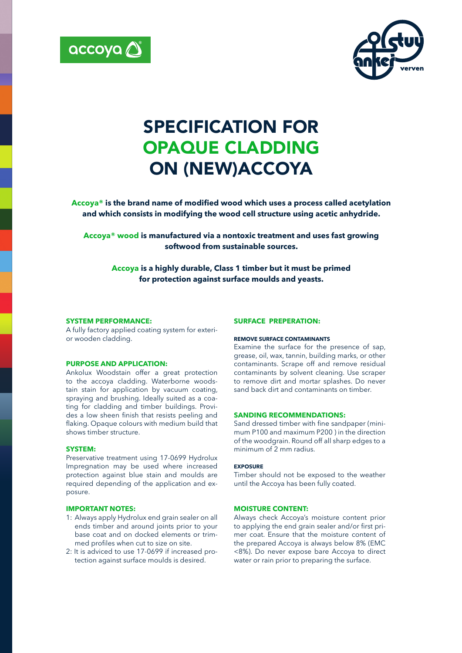



# SPECIFICATION FOR OPAQUE CLADDING ON (NEW)ACCOYA

**Accoya® is the brand name of modified wood which uses a process called acetylation and which consists in modifying the wood cell structure using acetic anhydride.**

**Accoya® wood is manufactured via a nontoxic treatment and uses fast growing softwood from sustainable sources.** 

**Accoya is a highly durable, Class 1 timber but it must be primed for protection against surface moulds and yeasts.**

# **SYSTEM PERFORMANCE:**

A fully factory applied coating system for exterior wooden cladding.

# **PURPOSE AND APPLICATION:**

Ankolux Woodstain offer a great protection to the accoya cladding. Waterborne woodstain stain for application by vacuum coating, spraying and brushing. Ideally suited as a coating for cladding and timber buildings. Provides a low sheen finish that resists peeling and flaking. Opaque colours with medium build that shows timber structure.

# **SYSTEM:**

Preservative treatment using 17-0699 Hydrolux Impregnation may be used where increased protection against blue stain and moulds are required depending of the application and exposure.

# **IMPORTANT NOTES:**

- 1: Always apply Hydrolux end grain sealer on all ends timber and around joints prior to your base coat and on docked elements or trimmed profiles when cut to size on site.
- 2: It is adviced to use 17-0699 if increased protection against surface moulds is desired.

#### **SURFACE PREPERATION:**

#### **REMOVE SURFACE CONTAMINANTS**

Examine the surface for the presence of sap, grease, oil, wax, tannin, building marks, or other contaminants. Scrape off and remove residual contaminants by solvent cleaning. Use scraper to remove dirt and mortar splashes. Do never sand back dirt and contaminants on timber.

# **SANDING RECOMMENDATIONS:**

Sand dressed timber with fine sandpaper (minimum P100 and maximum P200 ) in the direction of the woodgrain. Round off all sharp edges to a minimum of 2 mm radius.

#### **EXPOSURE**

Timber should not be exposed to the weather until the Accoya has been fully coated.

# **MOISTURE CONTENT:**

Always check Accoya's moisture content prior to applying the end grain sealer and/or first primer coat. Ensure that the moisture content of the prepared Accoya is always below 8% (EMC <8%). Do never expose bare Accoya to direct water or rain prior to preparing the surface.